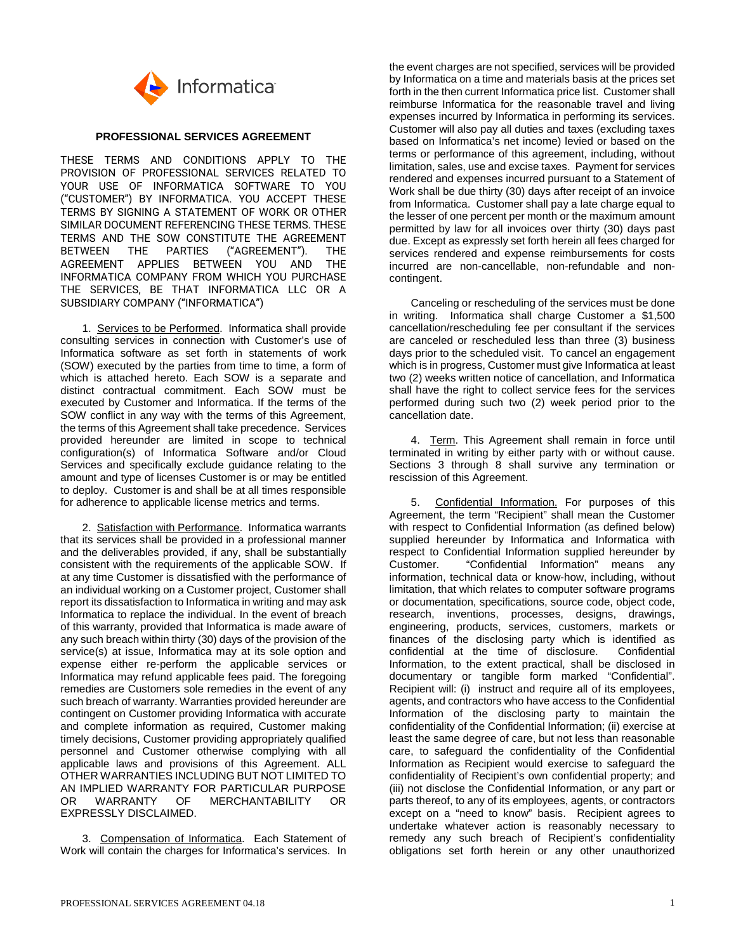

## **PROFESSIONAL SERVICES AGREEMENT**

THESE TERMS AND CONDITIONS APPLY TO THE PROVISION OF PROFESSIONAL SERVICES RELATED TO YOUR USE OF INFORMATICA SOFTWARE TO YOU ("CUSTOMER") BY INFORMATICA. YOU ACCEPT THESE TERMS BY SIGNING A STATEMENT OF WORK OR OTHER SIMILAR DOCUMENT REFERENCING THESE TERMS. THESE TERMS AND THE SOW CONSTITUTE THE AGREEMENT BETWEEN THE PARTIES ("AGREEMENT"). THE AGREEMENT APPLIES BETWEEN YOU AND THE INFORMATICA COMPANY FROM WHICH YOU PURCHASE THE SERVICES, BE THAT INFORMATICA LLC OR A SUBSIDIARY COMPANY ("INFORMATICA")

1. Services to be Performed. Informatica shall provide consulting services in connection with Customer's use of Informatica software as set forth in statements of work (SOW) executed by the parties from time to time, a form of which is attached hereto. Each SOW is a separate and distinct contractual commitment. Each SOW must be executed by Customer and Informatica. If the terms of the SOW conflict in any way with the terms of this Agreement, the terms of this Agreement shall take precedence. Services provided hereunder are limited in scope to technical configuration(s) of Informatica Software and/or Cloud Services and specifically exclude guidance relating to the amount and type of licenses Customer is or may be entitled to deploy. Customer is and shall be at all times responsible for adherence to applicable license metrics and terms.

2. Satisfaction with Performance. Informatica warrants that its services shall be provided in a professional manner and the deliverables provided, if any, shall be substantially consistent with the requirements of the applicable SOW. If at any time Customer is dissatisfied with the performance of an individual working on a Customer project, Customer shall report its dissatisfaction to Informatica in writing and may ask Informatica to replace the individual. In the event of breach of this warranty, provided that Informatica is made aware of any such breach within thirty (30) days of the provision of the service(s) at issue, Informatica may at its sole option and expense either re-perform the applicable services or Informatica may refund applicable fees paid. The foregoing remedies are Customers sole remedies in the event of any such breach of warranty. Warranties provided hereunder are contingent on Customer providing Informatica with accurate and complete information as required, Customer making timely decisions, Customer providing appropriately qualified personnel and Customer otherwise complying with all applicable laws and provisions of this Agreement. ALL OTHER WARRANTIES INCLUDING BUT NOT LIMITED TO AN IMPLIED WARRANTY FOR PARTICULAR PURPOSE<br>OR WARRANTY OF MERCHANTABILITY OR OR WARRANTY OF MERCHANTABILITY OR EXPRESSLY DISCLAIMED.

3. Compensation of Informatica. Each Statement of Work will contain the charges for Informatica's services. In the event charges are not specified, services will be provided by Informatica on a time and materials basis at the prices set forth in the then current Informatica price list. Customer shall reimburse Informatica for the reasonable travel and living expenses incurred by Informatica in performing its services. Customer will also pay all duties and taxes (excluding taxes based on Informatica's net income) levied or based on the terms or performance of this agreement, including, without limitation, sales, use and excise taxes. Payment for services rendered and expenses incurred pursuant to a Statement of Work shall be due thirty (30) days after receipt of an invoice from Informatica. Customer shall pay a late charge equal to the lesser of one percent per month or the maximum amount permitted by law for all invoices over thirty (30) days past due. Except as expressly set forth herein all fees charged for services rendered and expense reimbursements for costs incurred are non-cancellable, non-refundable and noncontingent.

Canceling or rescheduling of the services must be done in writing. Informatica shall charge Customer a \$1,500 cancellation/rescheduling fee per consultant if the services are canceled or rescheduled less than three (3) business days prior to the scheduled visit. To cancel an engagement which is in progress, Customer must give Informatica at least two (2) weeks written notice of cancellation, and Informatica shall have the right to collect service fees for the services performed during such two (2) week period prior to the cancellation date.

4. Term. This Agreement shall remain in force until terminated in writing by either party with or without cause. Sections 3 through 8 shall survive any termination or rescission of this Agreement.

5. Confidential Information. For purposes of this Agreement, the term "Recipient" shall mean the Customer with respect to Confidential Information (as defined below) supplied hereunder by Informatica and Informatica with respect to Confidential Information supplied hereunder by Customer. "Confidential Information" means any information, technical data or know-how, including, without limitation, that which relates to computer software programs or documentation, specifications, source code, object code, research, inventions, processes, designs, drawings, engineering, products, services, customers, markets or finances of the disclosing party which is identified as confidential at the time of disclosure. Confidential Information, to the extent practical, shall be disclosed in documentary or tangible form marked "Confidential". Recipient will: (i) instruct and require all of its employees, agents, and contractors who have access to the Confidential Information of the disclosing party to maintain the confidentiality of the Confidential Information; (ii) exercise at least the same degree of care, but not less than reasonable care, to safeguard the confidentiality of the Confidential Information as Recipient would exercise to safeguard the confidentiality of Recipient's own confidential property; and (iii) not disclose the Confidential Information, or any part or parts thereof, to any of its employees, agents, or contractors except on a "need to know" basis. Recipient agrees to undertake whatever action is reasonably necessary to remedy any such breach of Recipient's confidentiality obligations set forth herein or any other unauthorized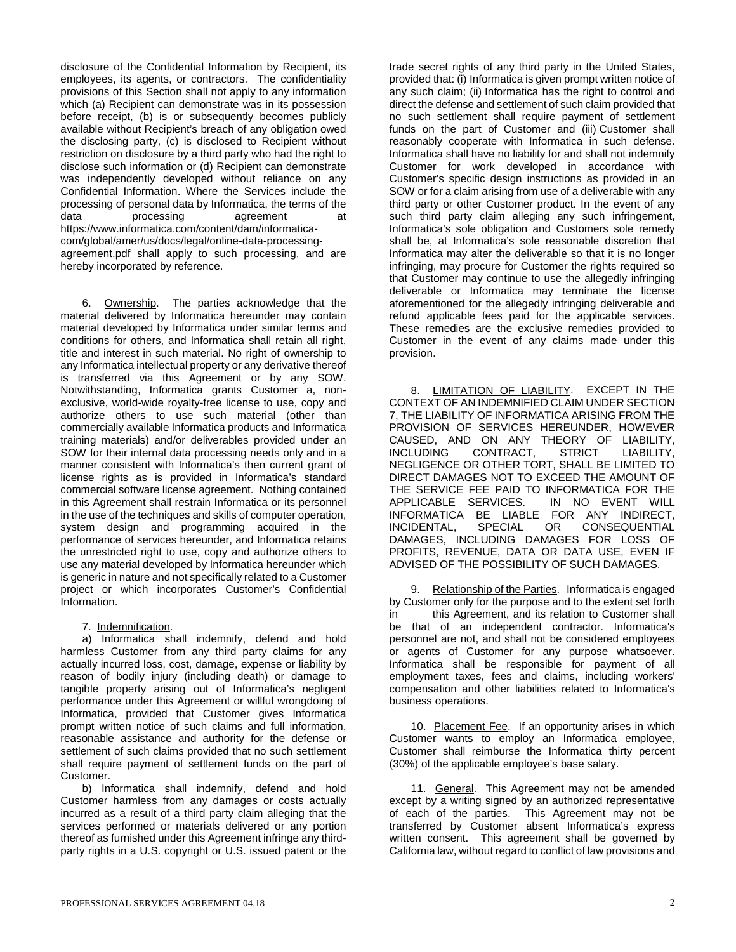disclosure of the Confidential Information by Recipient, its employees, its agents, or contractors. The confidentiality provisions of this Section shall not apply to any information which (a) Recipient can demonstrate was in its possession before receipt, (b) is or subsequently becomes publicly available without Recipient's breach of any obligation owed the disclosing party, (c) is disclosed to Recipient without restriction on disclosure by a third party who had the right to disclose such information or (d) Recipient can demonstrate was independently developed without reliance on any Confidential Information. Where the Services include the processing of personal data by Informatica, the terms of the<br>data by agreement at processing https://www.informatica.com/content/dam/informaticacom/global/amer/us/docs/legal/online-data-processingagreement.pdf shall apply to such processing, and are hereby incorporated by reference.

6. Ownership. The parties acknowledge that the material delivered by Informatica hereunder may contain material developed by Informatica under similar terms and conditions for others, and Informatica shall retain all right, title and interest in such material. No right of ownership to any Informatica intellectual property or any derivative thereof is transferred via this Agreement or by any SOW. Notwithstanding, Informatica grants Customer a, nonexclusive, world-wide royalty-free license to use, copy and authorize others to use such material (other than commercially available Informatica products and Informatica training materials) and/or deliverables provided under an SOW for their internal data processing needs only and in a manner consistent with Informatica's then current grant of license rights as is provided in Informatica's standard commercial software license agreement. Nothing contained in this Agreement shall restrain Informatica or its personnel in the use of the techniques and skills of computer operation, system design and programming acquired in the performance of services hereunder, and Informatica retains the unrestricted right to use, copy and authorize others to use any material developed by Informatica hereunder which is generic in nature and not specifically related to a Customer project or which incorporates Customer's Confidential Information.

## 7. Indemnification.

a) Informatica shall indemnify, defend and hold harmless Customer from any third party claims for any actually incurred loss, cost, damage, expense or liability by reason of bodily injury (including death) or damage to tangible property arising out of Informatica's negligent performance under this Agreement or willful wrongdoing of Informatica, provided that Customer gives Informatica prompt written notice of such claims and full information, reasonable assistance and authority for the defense or settlement of such claims provided that no such settlement shall require payment of settlement funds on the part of Customer.

b) Informatica shall indemnify, defend and hold Customer harmless from any damages or costs actually incurred as a result of a third party claim alleging that the services performed or materials delivered or any portion thereof as furnished under this Agreement infringe any thirdparty rights in a U.S. copyright or U.S. issued patent or the

trade secret rights of any third party in the United States, provided that: (i) Informatica is given prompt written notice of any such claim; (ii) Informatica has the right to control and direct the defense and settlement of such claim provided that no such settlement shall require payment of settlement funds on the part of Customer and (iii) Customer shall reasonably cooperate with Informatica in such defense. Informatica shall have no liability for and shall not indemnify Customer for work developed in accordance with Customer's specific design instructions as provided in an SOW or for a claim arising from use of a deliverable with any third party or other Customer product. In the event of any such third party claim alleging any such infringement, Informatica's sole obligation and Customers sole remedy shall be, at Informatica's sole reasonable discretion that Informatica may alter the deliverable so that it is no longer infringing, may procure for Customer the rights required so that Customer may continue to use the allegedly infringing deliverable or Informatica may terminate the license aforementioned for the allegedly infringing deliverable and refund applicable fees paid for the applicable services. These remedies are the exclusive remedies provided to Customer in the event of any claims made under this provision.

8. LIMITATION OF LIABILITY. EXCEPT IN THE CONTEXT OF AN INDEMNIFIED CLAIM UNDER SECTION 7, THE LIABILITY OF INFORMATICA ARISING FROM THE PROVISION OF SERVICES HEREUNDER, HOWEVER CAUSED, AND ON ANY THEORY OF LIABILITY,<br>INCLUDING CONTRACT. STRICT LIABILITY. CONTRACT, NEGLIGENCE OR OTHER TORT, SHALL BE LIMITED TO DIRECT DAMAGES NOT TO EXCEED THE AMOUNT OF THE SERVICE FEE PAID TO INFORMATICA FOR THE<br>APPLICABLE SERVICES. IN NO EVENT WILL APPLICABLE SERVICES. INFORMATICA BE LIABLE FOR ANY INDIRECT,<br>INCIDENTAL, SPECIAL OR CONSEQUENTIAL **CONSEQUENTIAL** DAMAGES, INCLUDING DAMAGES FOR LOSS OF PROFITS, REVENUE, DATA OR DATA USE, EVEN IF ADVISED OF THE POSSIBILITY OF SUCH DAMAGES.

9. Relationship of the Parties. Informatica is engaged by Customer only for the purpose and to the extent set forth in this Agreement, and its relation to Customer shall be that of an independent contractor. Informatica's personnel are not, and shall not be considered employees or agents of Customer for any purpose whatsoever. Informatica shall be responsible for payment of all employment taxes, fees and claims, including workers' compensation and other liabilities related to Informatica's business operations.

10. Placement Fee. If an opportunity arises in which Customer wants to employ an Informatica employee, Customer shall reimburse the Informatica thirty percent (30%) of the applicable employee's base salary.

11. General. This Agreement may not be amended except by a writing signed by an authorized representative of each of the parties. This Agreement may not be transferred by Customer absent Informatica's express written consent. This agreement shall be governed by California law, without regard to conflict of law provisions and